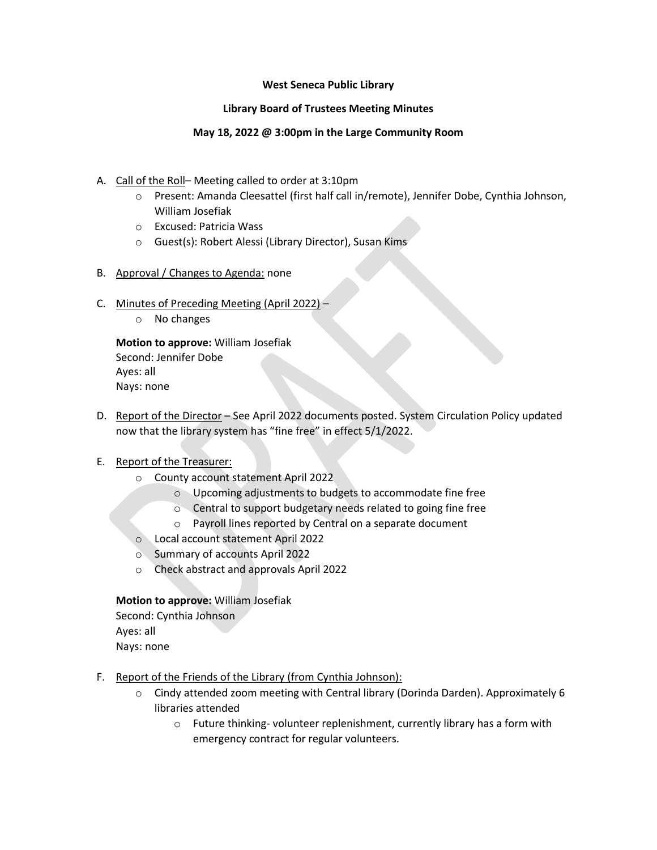## **West Seneca Public Library**

## **Library Board of Trustees Meeting Minutes**

## **May 18, 2022 @ 3:00pm in the Large Community Room**

- A. Call of the Roll– Meeting called to order at 3:10pm
	- o Present: Amanda Cleesattel (first half call in/remote), Jennifer Dobe, Cynthia Johnson, William Josefiak
	- o Excused: Patricia Wass
	- o Guest(s): Robert Alessi (Library Director), Susan Kims
- B. Approval / Changes to Agenda: none
- C. Minutes of Preceding Meeting (April 2022)
	- o No changes

**Motion to approve:** William Josefiak Second: Jennifer Dobe Ayes: all Nays: none

D. Report of the Director – See April 2022 documents posted. System Circulation Policy updated now that the library system has "fine free" in effect 5/1/2022.

# E. Report of the Treasurer:

- o County account statement April 2022
	- o Upcoming adjustments to budgets to accommodate fine free
	- o Central to support budgetary needs related to going fine free
	- o Payroll lines reported by Central on a separate document
- o Local account statement April 2022
- o Summary of accounts April 2022
- o Check abstract and approvals April 2022

# **Motion to approve:** William Josefiak

Second: Cynthia Johnson

Ayes: all

Nays: none

- F. Report of the Friends of the Library (from Cynthia Johnson):
	- o Cindy attended zoom meeting with Central library (Dorinda Darden). Approximately 6 libraries attended
		- o Future thinking- volunteer replenishment, currently library has a form with emergency contract for regular volunteers.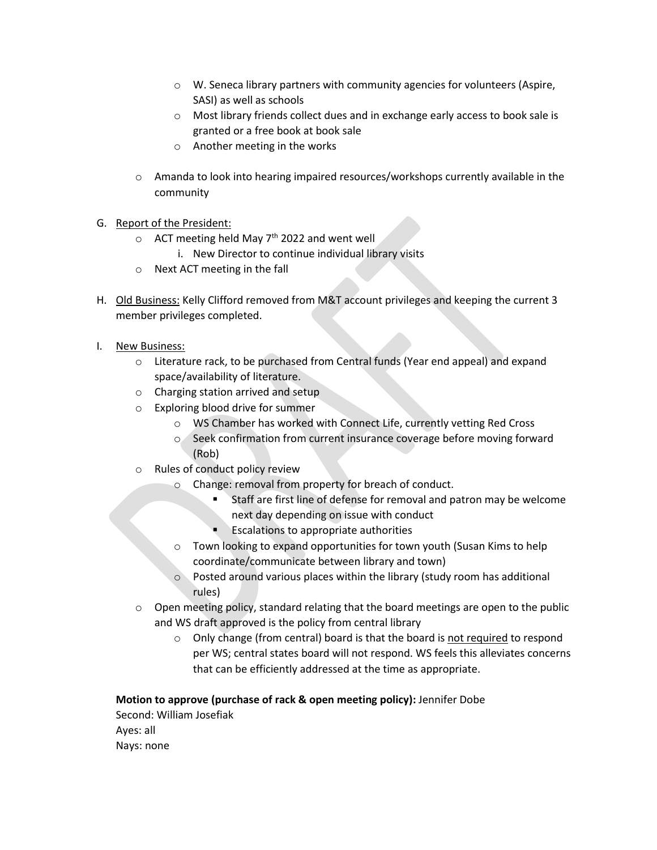- o W. Seneca library partners with community agencies for volunteers (Aspire, SASI) as well as schools
- o Most library friends collect dues and in exchange early access to book sale is granted or a free book at book sale
- o Another meeting in the works
- o Amanda to look into hearing impaired resources/workshops currently available in the community
- G. Report of the President:
	- $\circ$  ACT meeting held May 7<sup>th</sup> 2022 and went well
		- i. New Director to continue individual library visits
	- o Next ACT meeting in the fall
- H. Old Business: Kelly Clifford removed from M&T account privileges and keeping the current 3 member privileges completed.
- I. New Business:
	- $\circ$  Literature rack, to be purchased from Central funds (Year end appeal) and expand space/availability of literature.
	- o Charging station arrived and setup
	- o Exploring blood drive for summer
		- o WS Chamber has worked with Connect Life, currently vetting Red Cross
		- o Seek confirmation from current insurance coverage before moving forward (Rob)
	- o Rules of conduct policy review
		- o Change: removal from property for breach of conduct.
			- Staff are first line of defense for removal and patron may be welcome next day depending on issue with conduct
			- **Escalations to appropriate authorities**
		- o Town looking to expand opportunities for town youth (Susan Kims to help coordinate/communicate between library and town)
		- o Posted around various places within the library (study room has additional rules)
	- $\circ$  Open meeting policy, standard relating that the board meetings are open to the public and WS draft approved is the policy from central library
		- o Only change (from central) board is that the board is not required to respond per WS; central states board will not respond. WS feels this alleviates concerns that can be efficiently addressed at the time as appropriate.

#### **Motion to approve (purchase of rack & open meeting policy):** Jennifer Dobe

Second: William Josefiak Ayes: all Nays: none